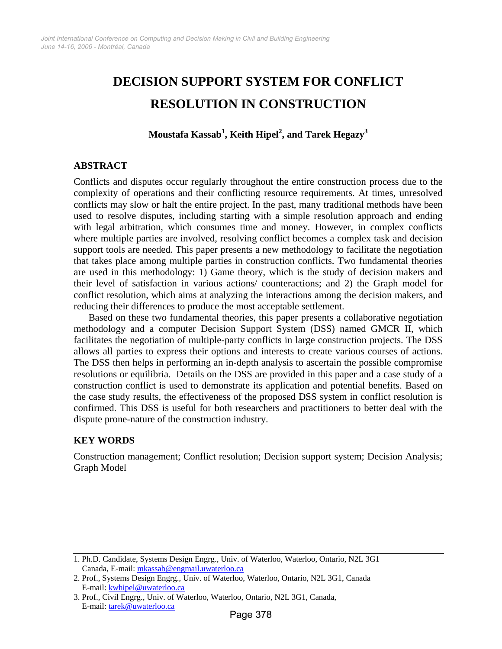# **DECISION SUPPORT SYSTEM FOR CONFLICT RESOLUTION IN CONSTRUCTION**

**Moustafa Kassab1 , Keith Hipel<sup>2</sup> , and Tarek Hegazy<sup>3</sup>**

## **ABSTRACT**

Conflicts and disputes occur regularly throughout the entire construction process due to the complexity of operations and their conflicting resource requirements. At times, unresolved conflicts may slow or halt the entire project. In the past, many traditional methods have been used to resolve disputes, including starting with a simple resolution approach and ending with legal arbitration, which consumes time and money. However, in complex conflicts where multiple parties are involved, resolving conflict becomes a complex task and decision support tools are needed. This paper presents a new methodology to facilitate the negotiation that takes place among multiple parties in construction conflicts. Two fundamental theories are used in this methodology: 1) Game theory, which is the study of decision makers and their level of satisfaction in various actions/ counteractions; and 2) the Graph model for conflict resolution, which aims at analyzing the interactions among the decision makers, and reducing their differences to produce the most acceptable settlement.

Based on these two fundamental theories, this paper presents a collaborative negotiation methodology and a computer Decision Support System (DSS) named GMCR II, which facilitates the negotiation of multiple-party conflicts in large construction projects. The DSS allows all parties to express their options and interests to create various courses of actions. The DSS then helps in performing an in-depth analysis to ascertain the possible compromise resolutions or equilibria. Details on the DSS are provided in this paper and a case study of a construction conflict is used to demonstrate its application and potential benefits. Based on the case study results, the effectiveness of the proposed DSS system in conflict resolution is confirmed. This DSS is useful for both researchers and practitioners to better deal with the dispute prone-nature of the construction industry.

## **KEY WORDS**

Construction management; Conflict resolution; Decision support system; Decision Analysis; Graph Model

<sup>1.</sup> Ph.D. Candidate, Systems Design Engrg., Univ. of Waterloo, Waterloo, Ontario, N2L 3G1 Canada, E-mail: mkassab@engmail.uwaterloo.ca

<sup>2.</sup> Prof., Systems Design Engrg., Univ. of Waterloo, Waterloo, Ontario, N2L 3G1, Canada E-mail: kwhipel@uwaterloo.ca

<sup>3.</sup> Prof., Civil Engrg., Univ. of Waterloo, Waterloo, Ontario, N2L 3G1, Canada, E-mail: tarek@uwaterloo.ca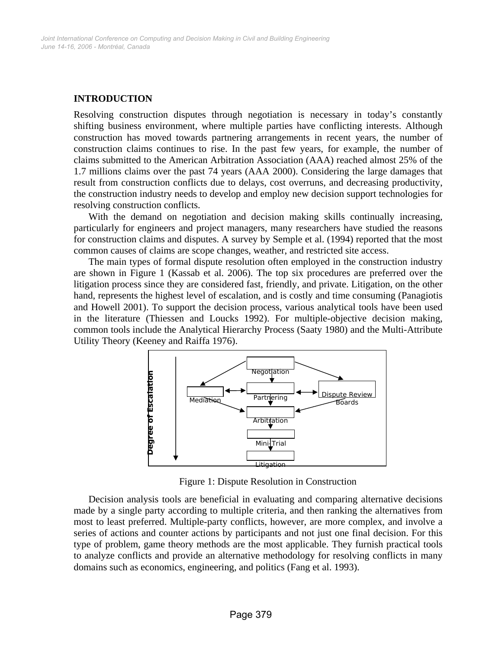## **INTRODUCTION**

Resolving construction disputes through negotiation is necessary in today's constantly shifting business environment, where multiple parties have conflicting interests. Although construction has moved towards partnering arrangements in recent years, the number of construction claims continues to rise. In the past few years, for example, the number of claims submitted to the American Arbitration Association (AAA) reached almost 25% of the 1.7 millions claims over the past 74 years (AAA 2000). Considering the large damages that result from construction conflicts due to delays, cost overruns, and decreasing productivity, the construction industry needs to develop and employ new decision support technologies for resolving construction conflicts.

With the demand on negotiation and decision making skills continually increasing, particularly for engineers and project managers, many researchers have studied the reasons for construction claims and disputes. A survey by Semple et al. (1994) reported that the most common causes of claims are scope changes, weather, and restricted site access.

The main types of formal dispute resolution often employed in the construction industry are shown in Figure 1 (Kassab et al. 2006). The top six procedures are preferred over the litigation process since they are considered fast, friendly, and private. Litigation, on the other hand, represents the highest level of escalation, and is costly and time consuming (Panagiotis and Howell 2001). To support the decision process, various analytical tools have been used in the literature (Thiessen and Loucks 1992). For multiple-objective decision making, common tools include the Analytical Hierarchy Process (Saaty 1980) and the Multi-Attribute Utility Theory (Keeney and Raiffa 1976).



Figure 1: Dispute Resolution in Construction

Decision analysis tools are beneficial in evaluating and comparing alternative decisions made by a single party according to multiple criteria, and then ranking the alternatives from most to least preferred. Multiple-party conflicts, however, are more complex, and involve a series of actions and counter actions by participants and not just one final decision. For this type of problem, game theory methods are the most applicable. They furnish practical tools to analyze conflicts and provide an alternative methodology for resolving conflicts in many domains such as economics, engineering, and politics (Fang et al. 1993).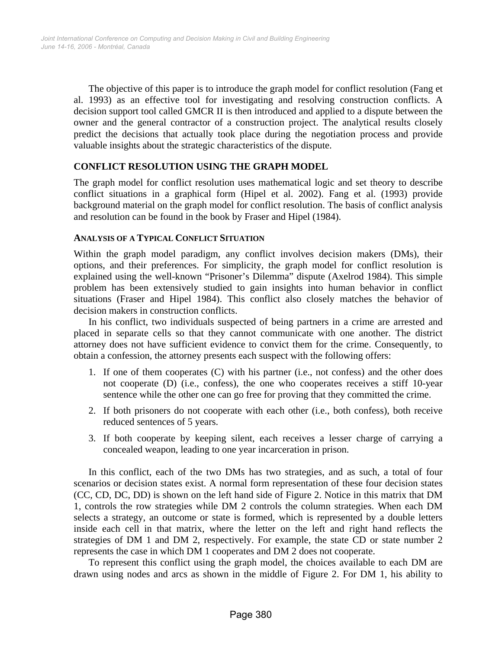The objective of this paper is to introduce the graph model for conflict resolution (Fang et al. 1993) as an effective tool for investigating and resolving construction conflicts. A decision support tool called GMCR II is then introduced and applied to a dispute between the owner and the general contractor of a construction project. The analytical results closely predict the decisions that actually took place during the negotiation process and provide valuable insights about the strategic characteristics of the dispute.

#### **CONFLICT RESOLUTION USING THE GRAPH MODEL**

The graph model for conflict resolution uses mathematical logic and set theory to describe conflict situations in a graphical form (Hipel et al. 2002). Fang et al. (1993) provide background material on the graph model for conflict resolution. The basis of conflict analysis and resolution can be found in the book by Fraser and Hipel (1984).

#### **ANALYSIS OF A TYPICAL CONFLICT SITUATION**

Within the graph model paradigm, any conflict involves decision makers (DMs), their options, and their preferences. For simplicity, the graph model for conflict resolution is explained using the well-known "Prisoner's Dilemma" dispute (Axelrod 1984). This simple problem has been extensively studied to gain insights into human behavior in conflict situations (Fraser and Hipel 1984). This conflict also closely matches the behavior of decision makers in construction conflicts.

In his conflict, two individuals suspected of being partners in a crime are arrested and placed in separate cells so that they cannot communicate with one another. The district attorney does not have sufficient evidence to convict them for the crime. Consequently, to obtain a confession, the attorney presents each suspect with the following offers:

- 1. If one of them cooperates (C) with his partner (i.e., not confess) and the other does not cooperate (D) (i.e., confess), the one who cooperates receives a stiff 10-year sentence while the other one can go free for proving that they committed the crime.
- 2. If both prisoners do not cooperate with each other (i.e., both confess), both receive reduced sentences of 5 years.
- 3. If both cooperate by keeping silent, each receives a lesser charge of carrying a concealed weapon, leading to one year incarceration in prison.

In this conflict, each of the two DMs has two strategies, and as such, a total of four scenarios or decision states exist. A normal form representation of these four decision states (CC, CD, DC, DD) is shown on the left hand side of Figure 2. Notice in this matrix that DM 1, controls the row strategies while DM 2 controls the column strategies. When each DM selects a strategy, an outcome or state is formed, which is represented by a double letters inside each cell in that matrix, where the letter on the left and right hand reflects the strategies of DM 1 and DM 2, respectively. For example, the state CD or state number 2 represents the case in which DM 1 cooperates and DM 2 does not cooperate.

To represent this conflict using the graph model, the choices available to each DM are drawn using nodes and arcs as shown in the middle of Figure 2. For DM 1, his ability to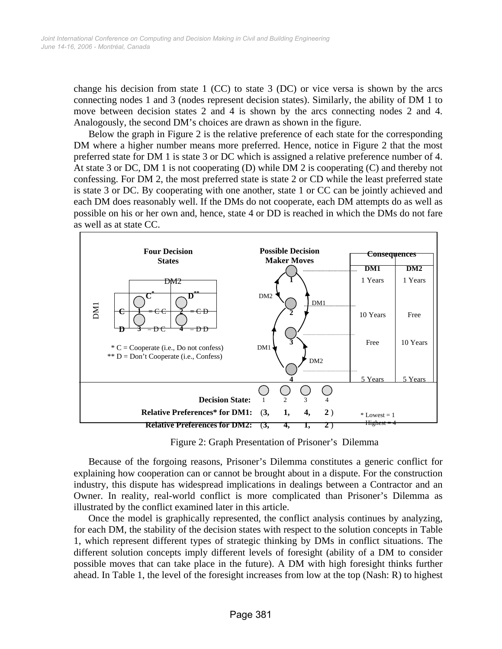change his decision from state 1 (CC) to state 3 (DC) or vice versa is shown by the arcs connecting nodes 1 and 3 (nodes represent decision states). Similarly, the ability of DM 1 to move between decision states 2 and 4 is shown by the arcs connecting nodes 2 and 4. Analogously, the second DM's choices are drawn as shown in the figure.

Below the graph in Figure 2 is the relative preference of each state for the corresponding DM where a higher number means more preferred. Hence, notice in Figure 2 that the most preferred state for DM 1 is state 3 or DC which is assigned a relative preference number of 4. At state 3 or DC, DM 1 is not cooperating (D) while DM 2 is cooperating (C) and thereby not confessing. For DM 2, the most preferred state is state 2 or CD while the least preferred state is state 3 or DC. By cooperating with one another, state 1 or CC can be jointly achieved and each DM does reasonably well. If the DMs do not cooperate, each DM attempts do as well as possible on his or her own and, hence, state 4 or DD is reached in which the DMs do not fare as well as at state CC.



Figure 2: Graph Presentation of Prisoner's Dilemma

Because of the forgoing reasons, Prisoner's Dilemma constitutes a generic conflict for explaining how cooperation can or cannot be brought about in a dispute. For the construction industry, this dispute has widespread implications in dealings between a Contractor and an Owner. In reality, real-world conflict is more complicated than Prisoner's Dilemma as illustrated by the conflict examined later in this article.

Once the model is graphically represented, the conflict analysis continues by analyzing, for each DM, the stability of the decision states with respect to the solution concepts in Table 1, which represent different types of strategic thinking by DMs in conflict situations. The different solution concepts imply different levels of foresight (ability of a DM to consider possible moves that can take place in the future). A DM with high foresight thinks further ahead. In Table 1, the level of the foresight increases from low at the top (Nash: R) to highest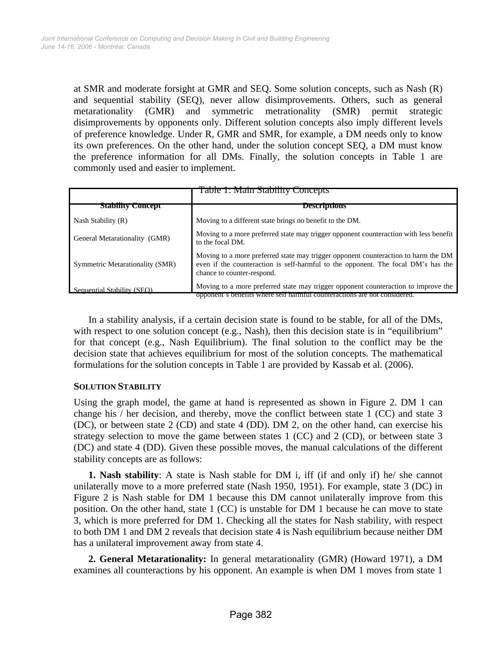at SMR and moderate forsight at GMR and SEQ. Some solution concepts, such as Nash (R) and sequential stability (SEQ), never allow disimprovements. Others, such as general metarationality (GMR) and symmetric metrationality (SMR) permit strategic disimprovements by opponents only. Different solution concepts also imply different levels of preference knowledge. Under R, GMR and SMR, for example, a DM needs only to know its own preferences. On the other hand, under the solution concept SEQ, a DM must know the preference information for all DMs. Finally, the solution concepts in Table 1 are commonly used and easier to implement.

|                                 | <b>Table 1: Main Stability Concepts</b>                                                                                                                                                               |  |  |  |  |  |  |
|---------------------------------|-------------------------------------------------------------------------------------------------------------------------------------------------------------------------------------------------------|--|--|--|--|--|--|
| <b>Stability Concept</b>        | <b>Descriptions</b>                                                                                                                                                                                   |  |  |  |  |  |  |
| Nash Stability (R)              | Moving to a different state brings no benefit to the DM.                                                                                                                                              |  |  |  |  |  |  |
| General Metarationality (GMR)   | Moving to a more preferred state may trigger opponent counteraction with less benefit<br>to the focal DM.                                                                                             |  |  |  |  |  |  |
| Symmetric Metarationality (SMR) | Moving to a more preferred state may trigger opponent counteraction to harm the DM<br>even if the counteraction is self-harmful to the opponent. The focal DM's has the<br>chance to counter-respond. |  |  |  |  |  |  |
| Sequential Stability (SEO)      | Moving to a more preferred state may trigger opponent counteraction to improve the<br>opponent's benefits where self harmful counteractions are not considered.                                       |  |  |  |  |  |  |

In a stability analysis, if a certain decision state is found to be stable, for all of the DMs, with respect to one solution concept (e.g., Nash), then this decision state is in "equilibrium" for that concept (e.g., Nash Equilibrium). The final solution to the conflict may be the decision state that achieves equilibrium for most of the solution concepts. The mathematical formulations for the solution concepts in Table 1 are provided by Kassab et al. (2006).

## **SOLUTION STABILITY**

Using the graph model, the game at hand is represented as shown in Figure 2. DM 1 can change his / her decision, and thereby, move the conflict between state 1 (CC) and state 3 (DC), or between state 2 (CD) and state 4 (DD). DM 2, on the other hand, can exercise his strategy selection to move the game between states 1 (CC) and 2 (CD), or between state 3 (DC) and state 4 (DD). Given these possible moves, the manual calculations of the different stability concepts are as follows:

**1. Nash stability**: A state is Nash stable for DM i, iff (if and only if) he/ she cannot unilaterally move to a more preferred state (Nash 1950, 1951). For example, state 3 (DC) in Figure 2 is Nash stable for DM 1 because this DM cannot unilaterally improve from this position. On the other hand, state 1 (CC) is unstable for DM 1 because he can move to state 3, which is more preferred for DM 1. Checking all the states for Nash stability, with respect to both DM 1 and DM 2 reveals that decision state 4 is Nash equilibrium because neither DM has a unilateral improvement away from state 4.

**2. General Metarationality:** In general metarationality (GMR) (Howard 1971), a DM examines all counteractions by his opponent. An example is when DM 1 moves from state 1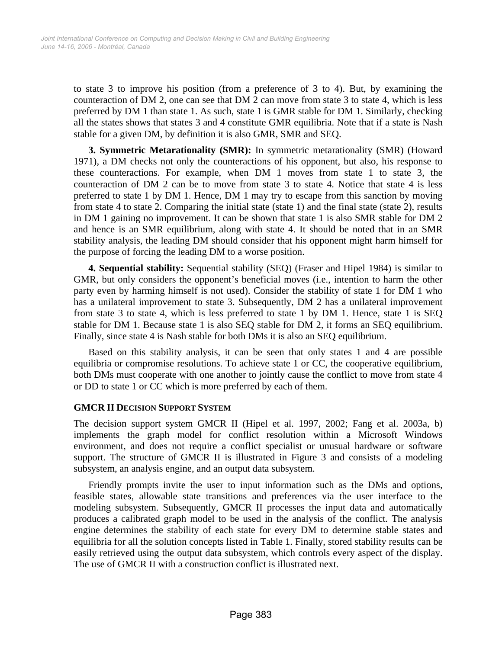to state 3 to improve his position (from a preference of 3 to 4). But, by examining the counteraction of DM 2, one can see that DM 2 can move from state 3 to state 4, which is less preferred by DM 1 than state 1. As such, state 1 is GMR stable for DM 1. Similarly, checking all the states shows that states 3 and 4 constitute GMR equilibria. Note that if a state is Nash stable for a given DM, by definition it is also GMR, SMR and SEQ.

**3. Symmetric Metarationality (SMR):** In symmetric metarationality (SMR) (Howard 1971), a DM checks not only the counteractions of his opponent, but also, his response to these counteractions. For example, when DM 1 moves from state 1 to state 3, the counteraction of DM 2 can be to move from state 3 to state 4. Notice that state 4 is less preferred to state 1 by DM 1. Hence, DM 1 may try to escape from this sanction by moving from state 4 to state 2. Comparing the initial state (state 1) and the final state (state 2), results in DM 1 gaining no improvement. It can be shown that state 1 is also SMR stable for DM 2 and hence is an SMR equilibrium, along with state 4. It should be noted that in an SMR stability analysis, the leading DM should consider that his opponent might harm himself for the purpose of forcing the leading DM to a worse position.

**4. Sequential stability:** Sequential stability (SEQ) (Fraser and Hipel 1984) is similar to GMR, but only considers the opponent's beneficial moves (i.e., intention to harm the other party even by harming himself is not used). Consider the stability of state 1 for DM 1 who has a unilateral improvement to state 3. Subsequently, DM 2 has a unilateral improvement from state 3 to state 4, which is less preferred to state 1 by DM 1. Hence, state 1 is SEQ stable for DM 1. Because state 1 is also SEQ stable for DM 2, it forms an SEQ equilibrium. Finally, since state 4 is Nash stable for both DMs it is also an SEQ equilibrium.

Based on this stability analysis, it can be seen that only states 1 and 4 are possible equilibria or compromise resolutions. To achieve state 1 or CC, the cooperative equilibrium, both DMs must cooperate with one another to jointly cause the conflict to move from state 4 or DD to state 1 or CC which is more preferred by each of them.

#### **GMCR II DECISION SUPPORT SYSTEM**

The decision support system GMCR II (Hipel et al. 1997, 2002; Fang et al. 2003a, b) implements the graph model for conflict resolution within a Microsoft Windows environment, and does not require a conflict specialist or unusual hardware or software support. The structure of GMCR II is illustrated in Figure 3 and consists of a modeling subsystem, an analysis engine, and an output data subsystem.

Friendly prompts invite the user to input information such as the DMs and options, feasible states, allowable state transitions and preferences via the user interface to the modeling subsystem. Subsequently, GMCR II processes the input data and automatically produces a calibrated graph model to be used in the analysis of the conflict. The analysis engine determines the stability of each state for every DM to determine stable states and equilibria for all the solution concepts listed in Table 1. Finally, stored stability results can be easily retrieved using the output data subsystem, which controls every aspect of the display. The use of GMCR II with a construction conflict is illustrated next.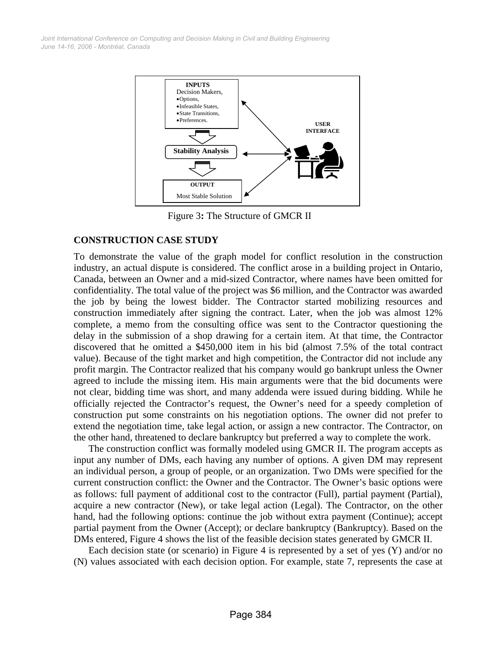*June 14-16, 2006 - Montréal, Canada Joint International Conference on Computing and Decision Making in Civil and Building Engineering*



Figure 3**:** The Structure of GMCR II

#### **CONSTRUCTION CASE STUDY**

To demonstrate the value of the graph model for conflict resolution in the construction industry, an actual dispute is considered. The conflict arose in a building project in Ontario, Canada, between an Owner and a mid-sized Contractor, where names have been omitted for confidentiality. The total value of the project was \$6 million, and the Contractor was awarded the job by being the lowest bidder. The Contractor started mobilizing resources and construction immediately after signing the contract. Later, when the job was almost 12% complete, a memo from the consulting office was sent to the Contractor questioning the delay in the submission of a shop drawing for a certain item. At that time, the Contractor discovered that he omitted a \$450,000 item in his bid (almost 7.5% of the total contract value). Because of the tight market and high competition, the Contractor did not include any profit margin. The Contractor realized that his company would go bankrupt unless the Owner agreed to include the missing item. His main arguments were that the bid documents were not clear, bidding time was short, and many addenda were issued during bidding. While he officially rejected the Contractor's request, the Owner's need for a speedy completion of construction put some constraints on his negotiation options. The owner did not prefer to extend the negotiation time, take legal action, or assign a new contractor. The Contractor, on the other hand, threatened to declare bankruptcy but preferred a way to complete the work.

The construction conflict was formally modeled using GMCR II. The program accepts as input any number of DMs, each having any number of options. A given DM may represent an individual person, a group of people, or an organization. Two DMs were specified for the current construction conflict: the Owner and the Contractor. The Owner's basic options were as follows: full payment of additional cost to the contractor (Full), partial payment (Partial), acquire a new contractor (New), or take legal action (Legal). The Contractor, on the other hand, had the following options: continue the job without extra payment (Continue); accept partial payment from the Owner (Accept); or declare bankruptcy (Bankruptcy). Based on the DMs entered, Figure 4 shows the list of the feasible decision states generated by GMCR II.

Each decision state (or scenario) in Figure 4 is represented by a set of yes (Y) and/or no (N) values associated with each decision option. For example, state 7, represents the case at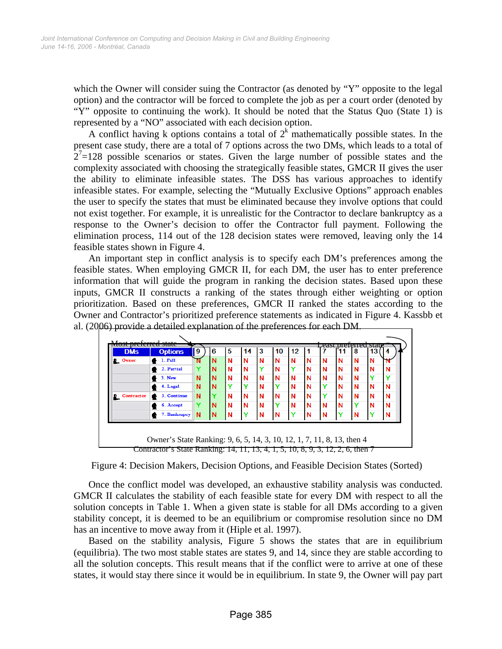which the Owner will consider suing the Contractor (as denoted by "Y" opposite to the legal option) and the contractor will be forced to complete the job as per a court order (denoted by "Y" opposite to continuing the work). It should be noted that the Status Quo (State 1) is represented by a "NO" associated with each decision option.

A conflict having k options contains a total of  $2<sup>k</sup>$  mathematically possible states. In the present case study, there are a total of 7 options across the two DMs, which leads to a total of  $2<sup>7</sup>=128$  possible scenarios or states. Given the large number of possible states and the complexity associated with choosing the strategically feasible states, GMCR II gives the user the ability to eliminate infeasible states. The DSS has various approaches to identify infeasible states. For example, selecting the "Mutually Exclusive Options" approach enables the user to specify the states that must be eliminated because they involve options that could not exist together. For example, it is unrealistic for the Contractor to declare bankruptcy as a response to the Owner's decision to offer the Contractor full payment. Following the elimination process, 114 out of the 128 decision states were removed, leaving only the 14 feasible states shown in Figure 4.

An important step in conflict analysis is to specify each DM's preferences among the feasible states. When employing GMCR II, for each DM, the user has to enter preference information that will guide the program in ranking the decision states. Based upon these inputs, GMCR II constructs a ranking of the states through either weighting or option prioritization. Based on these preferences, GMCR II ranked the states according to the Owner and Contractor's prioritized preference statements as indicated in Figure 4. Kassbb et al. (2006) provide a detailed explanation of the preferences for each DM.

| <b>DMs</b>        | <b>Options</b> | 9<br> | 6        | 5 | 14          | 3            | 10 | 12 |   |   | 11 | 8            | 13           | 4 |
|-------------------|----------------|-------|----------|---|-------------|--------------|----|----|---|---|----|--------------|--------------|---|
| <b>D</b> Owner    | 1. Full        |       | N        | N | N           | N            | N  | N  | N | N | N  | N            | N            | N |
|                   | 2. Partial     |       | N        | N | N           | $\mathbf{Y}$ | N  | Y  | N | N | N  | N            | N            | N |
|                   | $3.$ New       | N     | N        | N | N           | N            | N  | N  | N | N | N  | N            | $\mathbf{v}$ |   |
|                   | 4. Legal       | N     | <b>N</b> | v |             | N            | Y  | N  | N | Y | N  | N            | N            | N |
| <b>Contractor</b> | 5. Continue    | N     |          | N | $\mathbf N$ | N            | N  | N  | N | Y | N  | N            | N            | N |
|                   | 6. Accept      |       | N        | N | $\mathbf N$ | N            | Y  | N  | N | N | N  | $\checkmark$ | N            | N |
|                   | 7. Bankrupcy   | N     | ΙN       | N |             | N            | N  | v  | N | N | v  | N            | Y            | N |
|                   |                |       |          |   |             |              |    |    |   |   |    |              |              |   |
|                   |                |       |          |   |             |              |    |    |   |   |    |              |              |   |

Figure 4: Decision Makers, Decision Options, and Feasible Decision States (Sorted)

Once the conflict model was developed, an exhaustive stability analysis was conducted. GMCR II calculates the stability of each feasible state for every DM with respect to all the solution concepts in Table 1. When a given state is stable for all DMs according to a given stability concept, it is deemed to be an equilibrium or compromise resolution since no DM has an incentive to move away from it (Hiple et al. 1997).

Based on the stability analysis, Figure 5 shows the states that are in equilibrium (equilibria). The two most stable states are states 9, and 14, since they are stable according to all the solution concepts. This result means that if the conflict were to arrive at one of these states, it would stay there since it would be in equilibrium. In state 9, the Owner will pay part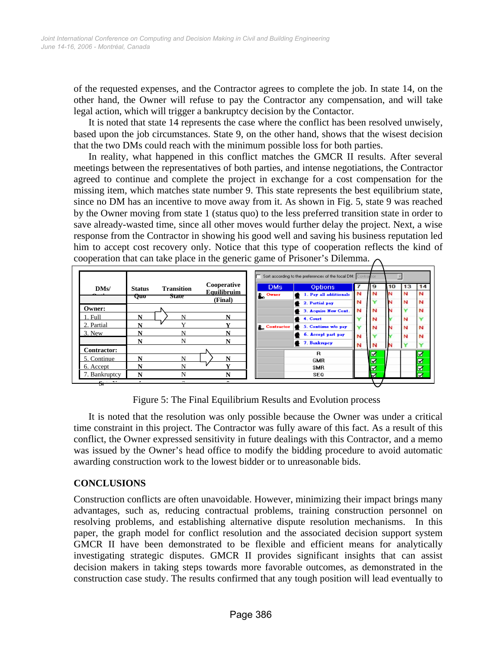of the requested expenses, and the Contractor agrees to complete the job. In state 14, on the other hand, the Owner will refuse to pay the Contractor any compensation, and will take legal action, which will trigger a bankruptcy decision by the Contactor.

It is noted that state 14 represents the case where the conflict has been resolved unwisely, based upon the job circumstances. State 9, on the other hand, shows that the wisest decision that the two DMs could reach with the minimum possible loss for both parties.

In reality, what happened in this conflict matches the GMCR II results. After several meetings between the representatives of both parties, and intense negotiations, the Contractor agreed to continue and complete the project in exchange for a cost compensation for the missing item, which matches state number 9. This state represents the best equilibrium state, since no DM has an incentive to move away from it. As shown in Fig. 5, state 9 was reached by the Owner moving from state 1 (status quo) to the less preferred transition state in order to save already-wasted time, since all other moves would further delay the project. Next, a wise response from the Contractor in showing his good well and saving his business reputation led him to accept cost recovery only. Notice that this type of cooperation reflects the kind of cooperation that can take place in the generic game of Prisoner's Dilemma.  $\bigcap$ 

|                              |   |                            |                                              | Sort according to the preferences of the focal DM: Contractor |                                                            |        |   |    |    |                         |
|------------------------------|---|----------------------------|----------------------------------------------|---------------------------------------------------------------|------------------------------------------------------------|--------|---|----|----|-------------------------|
| DMs/<br><b>Status</b><br>Quo |   | <b>Transition</b><br>state | Cooperative<br><b>Equilibruim</b><br>(Final) | <b>DMs</b><br>D <sub>o</sub> Owner                            | <b>Options</b><br>1. Pay all additionals<br>2. Partial pay | N<br>N | 9 | 10 | 13 | 14<br>N<br>N            |
| Owner:                       |   |                            |                                              |                                                               | 3. Acquire New Cont.                                       | N      | N |    |    | N                       |
| . Full                       | N | N                          | N                                            |                                                               | 4. Court                                                   |        | N |    | N  |                         |
| 2. Partial                   | N |                            | v                                            | <b>P.</b> Contractor                                          | 5. Continue w/o pay                                        |        | N |    | N  | N                       |
| 3. New                       | N | N                          | N                                            |                                                               | 6. Accept part pay                                         | N      |   |    | N  | N                       |
|                              | N | N                          | N                                            |                                                               | <b>4 7. Bankrupcy</b>                                      | N      | N |    |    | $\checkmark$            |
| <b>Contractor:</b>           |   |                            |                                              |                                                               | R                                                          |        | ☑ |    |    | $\overline{\mathbf{z}}$ |
| 5. Continue                  | N | N                          | N                                            |                                                               | <b>GMR</b>                                                 |        | ☑ |    |    | ☑                       |
| 6. Accept                    | N | N                          |                                              |                                                               | <b>SMR</b>                                                 |        | ⊽ |    |    |                         |
| 7. Bankruptcy                | N | N                          | N                                            |                                                               | SEQ                                                        |        | ▽ |    |    | $\overline{\mathbf{N}}$ |
| $s -$                        |   | $\sim$                     | $\sim$                                       |                                                               |                                                            |        |   |    |    |                         |

Figure 5: The Final Equilibrium Results and Evolution process

It is noted that the resolution was only possible because the Owner was under a critical time constraint in this project. The Contractor was fully aware of this fact. As a result of this conflict, the Owner expressed sensitivity in future dealings with this Contractor, and a memo was issued by the Owner's head office to modify the bidding procedure to avoid automatic awarding construction work to the lowest bidder or to unreasonable bids.

# **CONCLUSIONS**

Construction conflicts are often unavoidable. However, minimizing their impact brings many advantages, such as, reducing contractual problems, training construction personnel on resolving problems, and establishing alternative dispute resolution mechanisms. In this paper, the graph model for conflict resolution and the associated decision support system GMCR II have been demonstrated to be flexible and efficient means for analytically investigating strategic disputes. GMCR II provides significant insights that can assist decision makers in taking steps towards more favorable outcomes, as demonstrated in the construction case study. The results confirmed that any tough position will lead eventually to